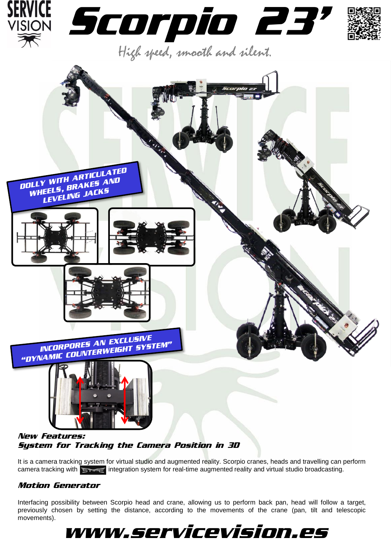





## New Features: System for Tracking the Camera Position in 3D

It is a camera tracking system for virtual studio and augmented reality. Scorpio cranes, heads and travelling can perform camera tracking with  $\epsilon$  integration system for real-time augmented reality and virtual studio broadcasting.

## Motion Generator

Interfacing possibility between Scorpio head and crane, allowing us to perform back pan, head will follow a target, previously chosen by setting the distance, according to the movements of the crane (pan, tilt and telescopic movements).